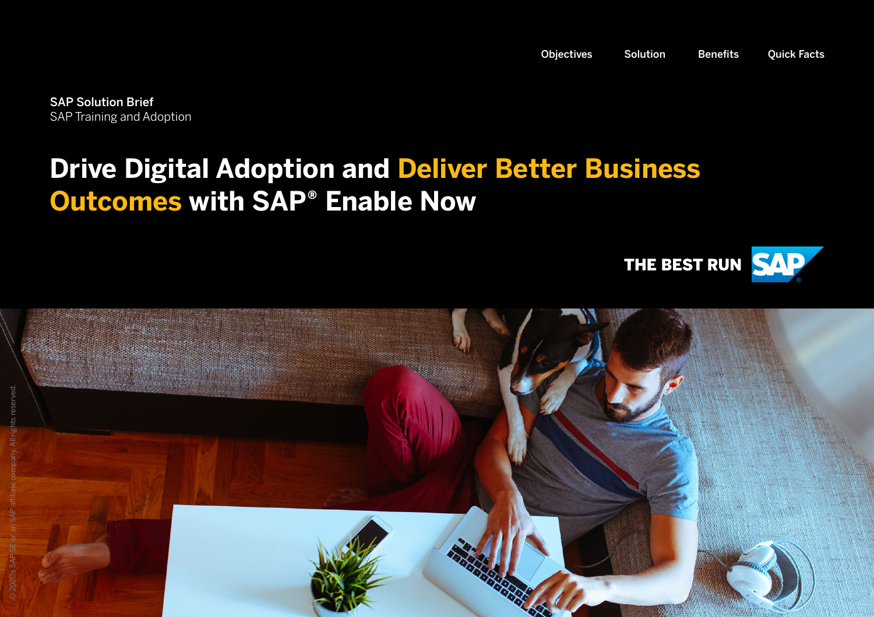<span id="page-0-0"></span>SAP Solution Brief SAP Training and Adoption

### **Drive Digital Adoption and Deliver Better Business Outcomes with SAP® Enable Now**



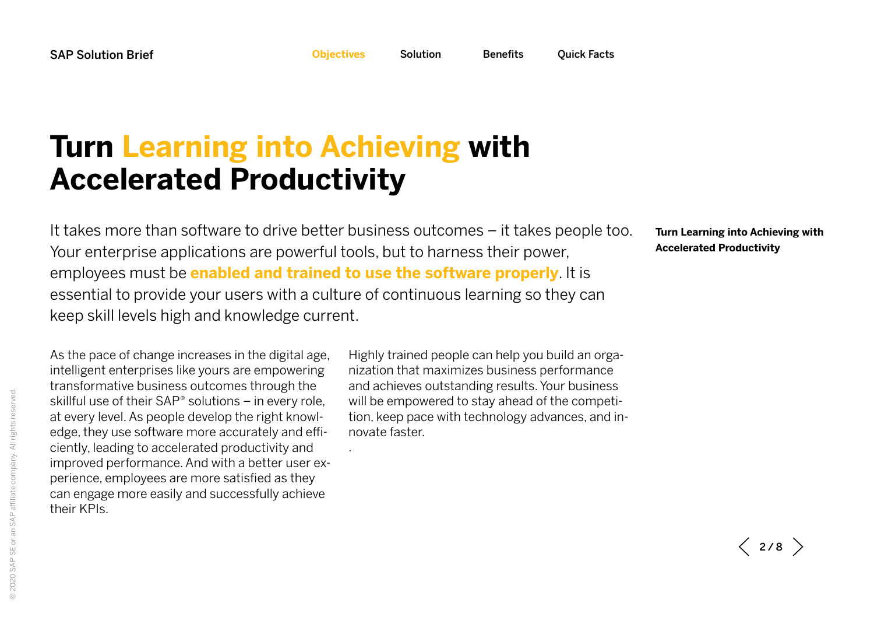<span id="page-1-0"></span>

## <span id="page-1-1"></span>**Turn Learning into Achieving with Accelerated Productivity**

It takes more than software to drive better business outcomes – it takes people too. Your enterprise applications are powerful tools, but to harness their power, employees must be **enabled and trained to use the software properly**. It is essential to provide your users with a culture of continuous learning so they can keep skill levels high and knowledge current.

.

**[Turn Learning into Achieving with](#page-1-1)  [Accelerated Productivity](#page-1-1)**

As the pace of change increases in the digital age, intelligent enterprises like yours are empowering transformative business outcomes through the skillful use of their SAP® solutions – in every role, at every level. As people develop the right knowledge, they use software more accurately and efficiently, leading to accelerated productivity and improved performance. And with a better user experience, employees are more satisfied as they can engage more easily and successfully achieve their KPIs.

Highly trained people can help you build an organization that maximizes business performance and achieves outstanding results. Your business will be empowered to stay ahead of the competition, keep pace with technology advances, and innovate faster.

 $\langle$  2/8  $\rangle$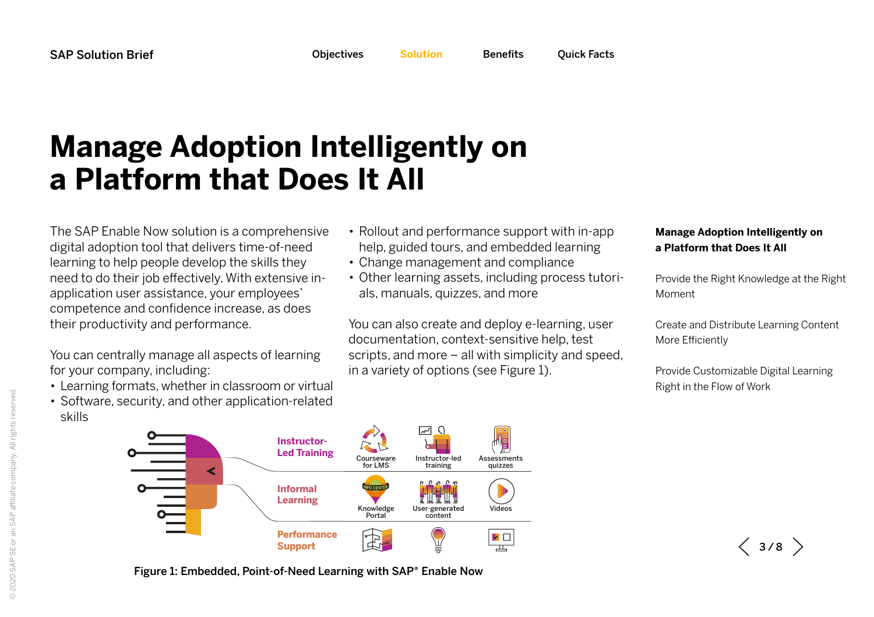<span id="page-2-0"></span>

# <span id="page-2-1"></span>**Manage Adoption Intelligently on a Platform that Does It All**

The SAP Enable Now solution is a comprehensive digital adoption tool that delivers time-of-need learning to help people develop the skills they need to do their job effectively. With extensive inapplication user assistance, your employees' competence and confidence increase, as does their productivity and performance.

You can centrally manage all aspects of learning for your company, including:

- Learning formats, whether in classroom or virtual
- Software, security, and other application-related skills
- Rollout and performance support with in-app help, guided tours, and embedded learning
- Change management and compliance
- Other learning assets, including process tutorials, manuals, quizzes, and more

You can also create and deploy e-learning, user documentation, context-sensitive help, test scripts, and more – all with simplicity and speed, in a variety of options (see Figure 1).

#### **[Manage Adoption Intelligently on](#page-2-1)  [a Platform that Does It All](#page-2-1)**

[Provide the Right Knowledge at the Right](#page-3-0)  [Moment](#page-3-0)

[Create and Distribute Learning Content](#page-4-0)  [More Efficiently](#page-4-0)

[Provide Customizable Digital Learning](#page-5-0)  [Right in the Flow of Work](#page-5-0)

 $\langle$  3/8  $\rangle$ 



Figure 1: Embedded, Point-of-Need Learning with SAP® Enable Now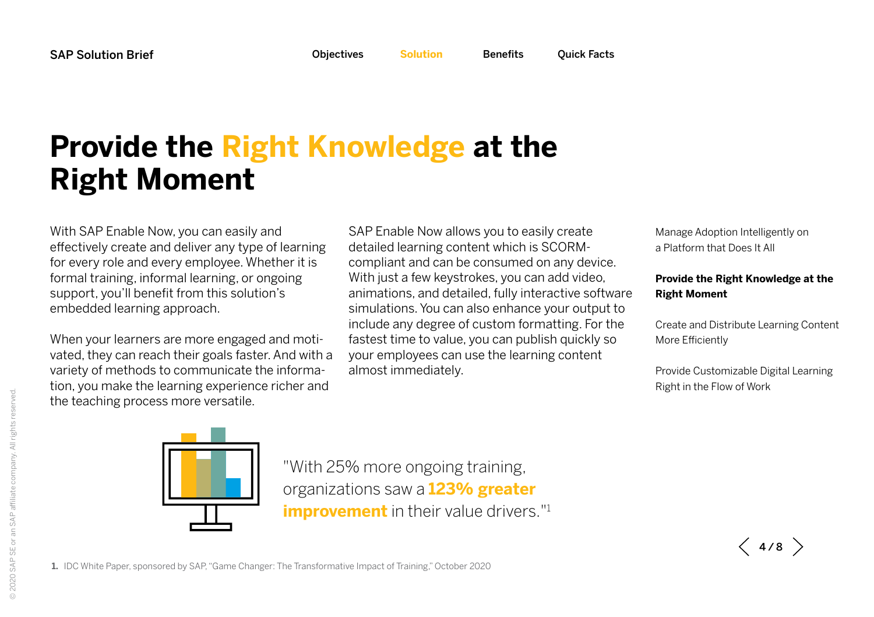# <span id="page-3-0"></span>**Provide the Right Knowledge at the Right Moment**

With SAP Enable Now, you can easily and effectively create and deliver any type of learning for every role and every employee. Whether it is formal training, informal learning, or ongoing support, you'll benefit from this solution's embedded learning approach.

When your learners are more engaged and motivated, they can reach their goals faster. And with a variety of methods to communicate the information, you make the learning experience richer and the teaching process more versatile.

SAP Enable Now allows you to easily create detailed learning content which is SCORMcompliant and can be consumed on any device. With just a few keystrokes, you can add video, animations, and detailed, fully interactive software simulations. You can also enhance your output to include any degree of custom formatting. For the fastest time to value, you can publish quickly so your employees can use the learning content almost immediately.

[Manage Adoption Intelligently on](#page-2-1)  [a Platform that Does It All](#page-2-1)

#### **[Provide the Right Knowledge at the](#page-3-0)  [Right Moment](#page-3-0)**

[Create and Distribute Learning Content](#page-4-0)  [More Efficiently](#page-4-0)

[Provide Customizable Digital Learning](#page-5-0)  [Right in the Flow of Work](#page-5-0)



"With 25% more ongoing training, organizations saw a **123% greater improvement** in their value drivers."<sup>1</sup>

 $\langle$  4/8  $\rangle$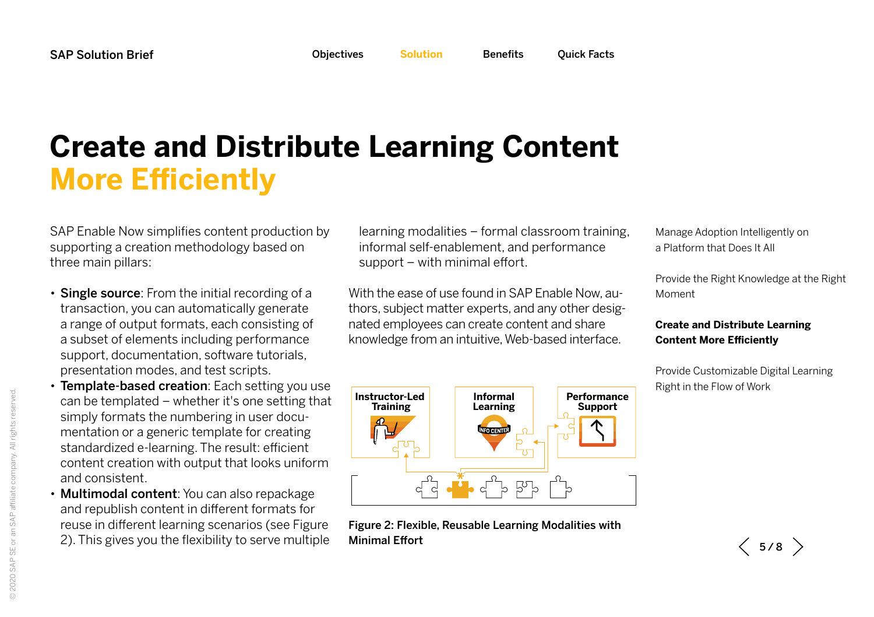# <span id="page-4-0"></span>**Create and Distribute Learning Content More Efficiently**

SAP Enable Now simplifies content production by supporting a creation methodology based on three main pillars:

- Single source: From the initial recording of a transaction, you can automatically generate a range of output formats, each consisting of a subset of elements including performance support, documentation, software tutorials, presentation modes, and test scripts.
- Template-based creation: Each setting you use can be templated – whether it's one setting that simply formats the numbering in user documentation or a generic template for creating standardized e-learning. The result: efficient content creation with output that looks uniform and consistent.
- Multimodal content: You can also repackage and republish content in different formats for reuse in different learning scenarios (see Figure 2). This gives you the flexibility to serve multiple

learning modalities – formal classroom training, informal self-enablement, and performance support – with minimal effort.

With the ease of use found in SAP Enable Now, authors, subject matter experts, and any other designated employees can create content and share knowledge from an intuitive, Web-based interface.



Figure 2: Flexible, Reusable Learning Modalities with Minimal Effort

[Manage Adoption Intelligently on](#page-2-1)  [a Platform that Does It All](#page-2-1)

[Provide the Right Knowledge at the Right](#page-3-0)  [Moment](#page-3-0)

#### **[Create and Distribute Learning](#page-4-0)  [Content More Efficiently](#page-4-0)**

[Provide Customizable Digital Learning](#page-5-0)  [Right in the Flow of Work](#page-5-0)

 $\langle$  5/8  $\rangle$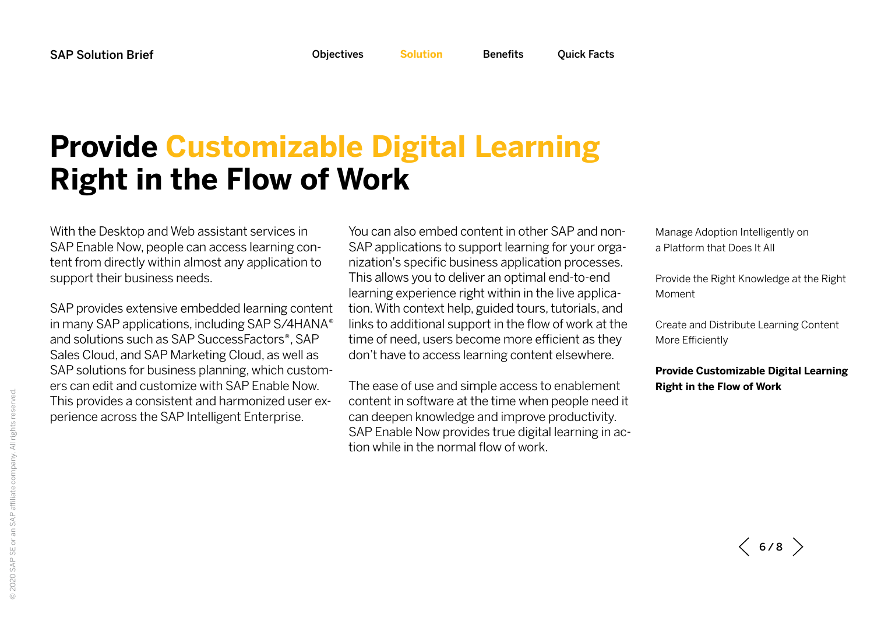## <span id="page-5-0"></span>**Provide Customizable Digital Learning Right in the Flow of Work**

With the Desktop and Web assistant services in SAP Enable Now, people can access learning content from directly within almost any application to support their business needs.

SAP provides extensive embedded learning content in many SAP applications, including SAP S/4HANA® and solutions such as SAP SuccessFactors®, SAP Sales Cloud, and SAP Marketing Cloud, as well as SAP solutions for business planning, which customers can edit and customize with SAP Enable Now. This provides a consistent and harmonized user experience across the SAP Intelligent Enterprise.

You can also embed content in other SAP and non-SAP applications to support learning for your organization's specific business application processes. This allows you to deliver an optimal end-to-end learning experience right within in the live application. With context help, guided tours, tutorials, and links to additional support in the flow of work at the time of need, users become more efficient as they don't have to access learning content elsewhere.

The ease of use and simple access to enablement content in software at the time when people need it can deepen knowledge and improve productivity. SAP Enable Now provides true digital learning in action while in the normal flow of work.

[Manage Adoption Intelligently on](#page-2-1)  [a Platform that Does It All](#page-2-1)

[Provide the Right Knowledge at the Right](#page-3-0)  [Moment](#page-3-0)

[Create and Distribute Learning Content](#page-4-0)  [More Efficiently](#page-4-0)

**[Provide Customizable Digital Learning](#page-5-0)  [Right in the Flow of Work](#page-5-0)**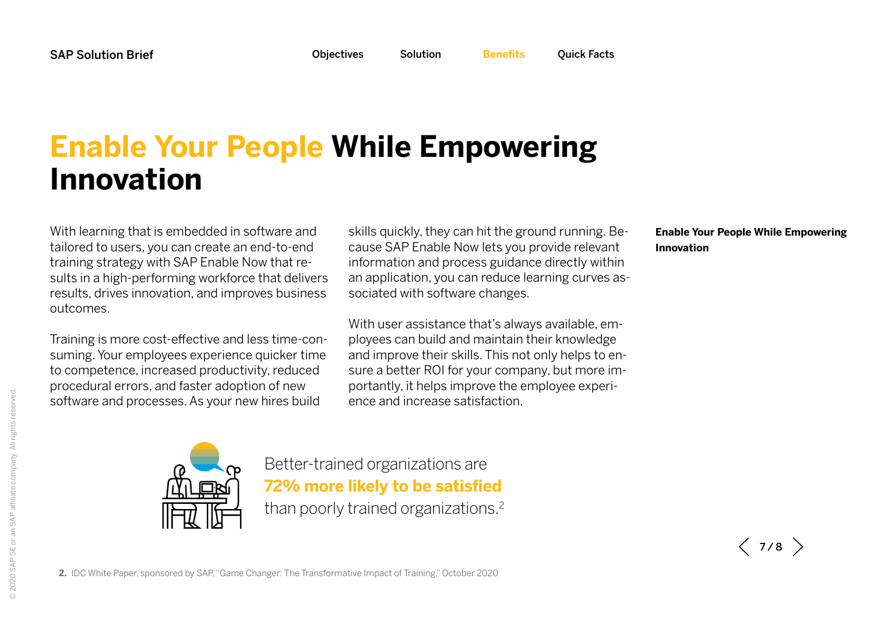<span id="page-6-0"></span>

# <span id="page-6-1"></span>**Enable Your People While Empowering Innovation**

With learning that is embedded in software and tailored to users, you can create an end-to-end training strategy with SAP Enable Now that results in a high-performing workforce that delivers results, drives innovation, and improves business outcomes.

Training is more cost-effective and less time-consuming. Your employees experience quicker time to competence, increased productivity, reduced procedural errors, and faster adoption of new software and processes. As your new hires build

skills quickly, they can hit the ground running. Because SAP Enable Now lets you provide relevant information and process guidance directly within an application, you can reduce learning curves associated with software changes.

With user assistance that's always available, employees can build and maintain their knowledge and improve their skills. This not only helps to ensure a better ROI for your company, but more importantly, it helps improve the employee experience and increase satisfaction.

#### **[Enable Your People While Empowering](#page-6-1)  [Innovation](#page-6-1)**



Better-trained organizations are **72% more likely to be satisfied** than poorly trained organizations.2

 $\langle$  7/8  $\rangle$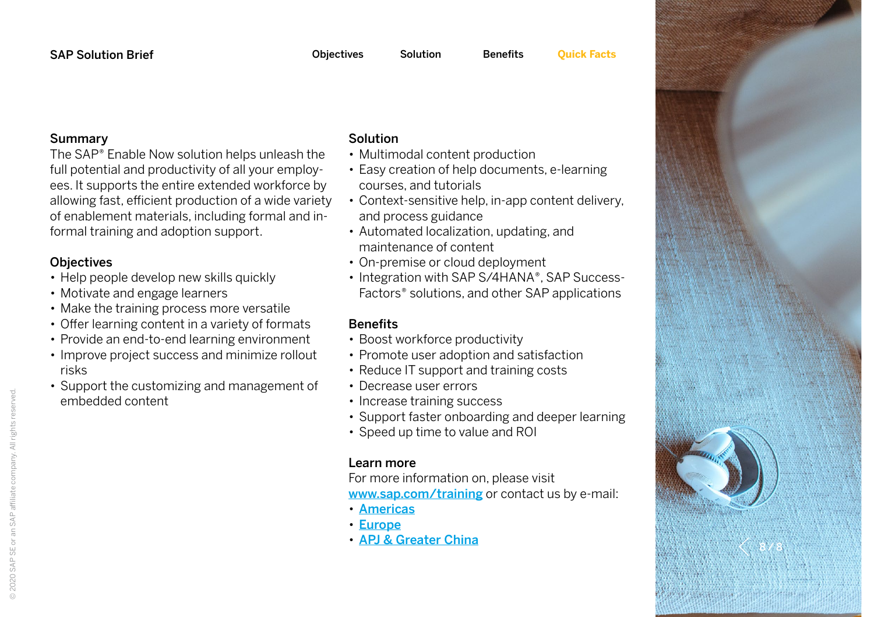#### Summary

The SAP® Enable Now solution helps unleash the full potential and productivity of all your employees. It supports the entire extended workforce by allowing fast, efficient production of a wide variety of enablement materials, including formal and informal training and adoption support.

### **Objectives**

- Help people develop new skills quickly
- Motivate and engage learners
- Make the training process more versatile
- Offer learning content in a variety of formats
- Provide an end-to-end learning environment
- Improve project success and minimize rollout risks
- Support the customizing and management of embedded content

### Solution

- Multimodal content production
- Easy creation of help documents, e-learning courses, and tutorials
- Context-sensitive help, in-app content delivery, and process guidance
- Automated localization, updating, and maintenance of content
- On-premise or cloud deployment
- Integration with SAP S/4HANA®, SAP Success-Factors® solutions, and other SAP applications

### **Benefits**

- Boost workforce productivity
- Promote user adoption and satisfaction
- Reduce IT support and training costs
- Decrease user errors
- Increase training success
- Support faster onboarding and deeper learning
- Speed up time to value and ROI

### Learn more

For more information on, please visit [www.sap.com/training](http://www.sap.com/training) or contact us by e-mail:

- [Americas](mailto:training.americas%40sap.com?subject=)
- [Europe](mailto:training.sap%40sap.com?subject=)
- [APJ & Greater China](mailto:sap_apj_education%40sap.com?subject=)

<span id="page-7-0"></span>